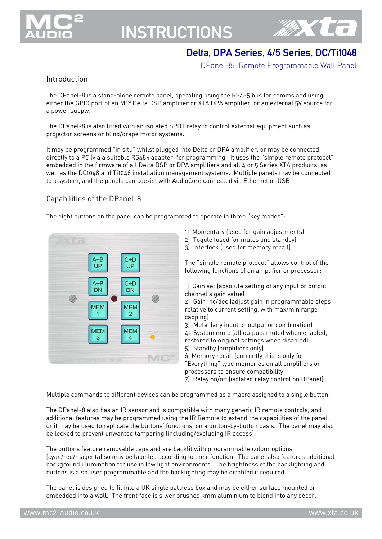

## **INSTRUCTIONS**



## Delta, DPA Series, 4/5 Series, DC/Ti1048

DPanel-8: Remote Programmable Wall Panel

### Introduction

The DPanel-8 is a stand-alone remote panel, operating using the RS485 bus for comms and using either the GPIO port of an MC<sup>2</sup> Delta DSP amplifier or XTA DPA amplifier, or an external 5V source for a power supply.

The DPanel-8 is also fitted with an isolated SPDT relay to control external equipment such as projector screens or blind/drape motor systems.

It may be programmed "in situ" whilst plugged into Delta or DPA amplifier, or may be connected directly to a PC (via a suitable RS485 adapter) for programming. It uses the "simple remote protocol" embedded in the firmware of all Delta DSP or DPA amplifiers and all 4 or 5 Series XTA products, as well as the DC1048 and Ti1048 installation management systems. Multiple panels may be connected to a system, and the panels can coexist with AudioCore connected via Ethernet or USB.

## Capabilities of the DPanel-8

The eight buttons on the panel can be programmed to operate in three "key modes":



- 1) Momentary (used for gain adjustments)
- 2) Toggle (used for mutes and standby)
- 3) Interlock (used for memory recall)

The "simple remote protocol" allows control of the following functions of an amplifier or processor:

1) Gain set (absolute setting of any input or output channel's gain value)

2) Gain inc/dec (adjust gain in programmable steps relative to current setting, with max/min range capping)

3) Mute (any input or output or combination)

4) System mute (all outputs muted when enabled, restored to original settings when disabled)

5) Standby (amplifiers only)

6) Memory recall (currently this is only for "Everything" type memories on all amplifiers or

processors to ensure compatibility

7) Relay on/off (isolated relay control on DPanel)

Multiple commands to different devices can be programmed as a macro assigned to a single button.

The DPanel-8 also has an IR sensor and is compatible with many generic IR remote controls, and additional features may be programmed using the IR Remote to extend the capabilities of the panel, or it may be used to replicate the buttons' functions, on a button-by-button basis. The panel may also be locked to prevent unwanted tampering (including/excluding IR access).

The buttons feature removable caps and are backlit with programmable colour options (cyan/red/magenta) so may be labelled according to their function. The panel also features additional background illumination for use in low light environments. The brightness of the backlighting and buttons is also user programmable and the backlighting may be disabled if required.

The panel is designed to fit into a UK single pattress box and may be either surface mounted or embedded into a wall. The front face is silver brushed 3mm aluminium to blend into any décor.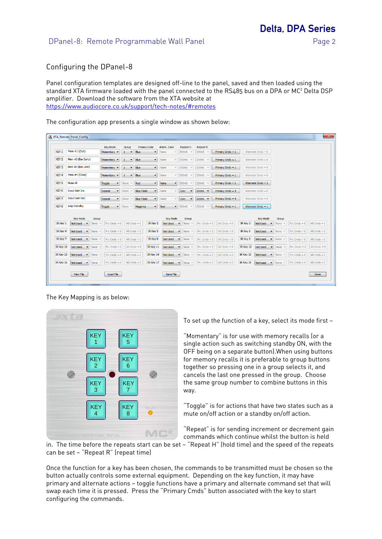Delta, DPA Series

### Configuring the DPanel-8

Panel configuration templates are designed off-line to the panel, saved and then loaded using the standard XTA firmware loaded with the panel connected to the RS485 bus on a DPA or MC<sup>2</sup> Delta DSP amplifier. Download the software from the XTA website at https://www.audiocore.co.uk/support/tech-notes/#remotes

The configuration app presents a single window as shown below:

|                  | XTA Remote Panel Config                                 |                                             |                                          |                              |                                 |                                                   |                                                         |                              |                                      |                  | $\mathbf{x}$   |
|------------------|---------------------------------------------------------|---------------------------------------------|------------------------------------------|------------------------------|---------------------------------|---------------------------------------------------|---------------------------------------------------------|------------------------------|--------------------------------------|------------------|----------------|
|                  |                                                         | <b>Key Mode</b>                             | Group                                    | <b>Primary Color</b>         | Altern, Color                   | <b>Repeat H</b>                                   | <b>Repeat R</b>                                         |                              |                                      |                  |                |
| KEY 1            | Mem #1 (Club)                                           | Momentary<br>$\overline{\phantom{a}}$       | $\mathbf{1}$<br>$\blacktriangledown$     | Blue<br>$\cdot$              | <b>None</b>                     | 500mS                                             | Primary Cmds = $1$<br>200mS                             | Alternate Cmds = $0$         |                                      |                  |                |
| KEY <sub>2</sub> | Mem #2 (Bar Early)                                      | Momentary v                                 | $\mathbf{1}$<br>$\blacktriangledown$     | Blue<br>$\blacktriangledown$ | None                            | 500mS<br>$\mathcal{R}$                            | 200mS<br>Primary Cmds = $1$                             | Alternate Cmds = $0$         |                                      |                  |                |
| KEY <sub>3</sub> | Mem #3 (Bar Late)                                       | Momentary<br>$\blacktriangledown$           | $\mathbf{1}$<br>$\blacktriangledown$     | Blue<br>$\blacktriangledown$ | None<br>$\sim$                  | 500mS                                             | Primary Cmds = $1$<br>200mS                             | Alternate Cmds = $0$         |                                      |                  |                |
| KEY <sub>4</sub> | Mem #4 (Close)                                          | Momentary<br>$\blacktriangledown$           | $\mathbf{1}$<br>$\overline{\phantom{a}}$ | Blue<br>$\cdot$              | None                            | 500mS                                             | 200mS<br>Primary Cmds = $1$                             | Alternate Cmds = $0$         |                                      |                  |                |
| KEY <sub>5</sub> | Mute All                                                | Toggle<br>$\blacktriangledown$              | None                                     | Red<br>$\cdot$               | None<br>۰                       | 500mS                                             | Primary Cmds = $1$<br>200mS                             | Alternate Cmds = $1$         |                                      |                  |                |
| KEY <sub>6</sub> | <b>Input Gain Inc</b>                                   | Repeat<br>$\blacktriangledown$              | None<br>$\overline{\phantom{a}}$         | <b>Blue Flash</b><br>$\cdot$ | None                            | 1Sec<br>$\overline{\phantom{a}}$                  | 200mS<br>Primary Cmds = $4$<br>$\overline{\phantom{a}}$ | Alternate Cmds = $0$         |                                      |                  |                |
| KEY 7            | <b>Input Gain Dec</b>                                   | Repeat<br>۰                                 | None<br>$\overline{\phantom{a}}$         | <b>Blue Flash</b><br>۰       | None                            | 1Sec                                              | Primary Cmds = $4$<br>200mS<br>$\overline{\phantom{a}}$ | Alternate Cmds = $0$         |                                      |                  |                |
| KEY <sub>8</sub> | Amp Standby                                             | Toggle<br>$\overline{\phantom{a}}$          | None                                     | Magenta<br>۰                 | Red<br>$\overline{\phantom{a}}$ | 500mS<br>$\mathbf{v}$                             | 200mS<br>Primary Cmds = $1$                             | Alternate Cmds = $1$         |                                      |                  |                |
|                  |                                                         |                                             |                                          |                              |                                 |                                                   |                                                         |                              |                                      |                  |                |
|                  | <b>Key Mode</b><br>Group                                |                                             |                                          |                              | <b>Key Mode</b>                 | Group                                             |                                                         | <b>Key Mode</b>              | Group                                |                  |                |
| IR Key 1         | <b>Not Used</b><br>None $=$<br>$\overline{\phantom{a}}$ | Pri. Cmds = $0$                             | Alt Cmds = $0$                           | IR Key 2                     | <b>Not Used</b>                 | None $=$<br>$\overline{\phantom{a}}$              | Pri. Cmds = $0$<br>Alt Cmds = $0$                       | IR Key 3<br><b>Not Used</b>  | None $-$<br>$\overline{\phantom{a}}$ | $Pri$ . Cmds = 0 | Alt Cmds = $0$ |
| IR Key 4         | <b>Not Used</b><br>None                                 | Pri. Cmds = $0$<br>$\overline{\phantom{a}}$ | Alt Cmds = $0$                           | IR Key 5                     | <b>Not Used</b>                 | None<br>$\sim$                                    | Alt Cmds = $0$<br>Pri. Cmds = $0$                       | IR Key 6<br><b>Not Used</b>  | None                                 | Pri. Cmds = $0$  | Alt Cmds = $0$ |
| IR Key 7         | Not Used<br>None                                        | Pri. Cmds = $0$                             | Alt Cmds = $0$                           | IR Key 8                     | <b>Not Used</b>                 | None                                              | Alt Cmds = $0$<br>$Pri$ . Cmds = 0                      | IR Key 9<br><b>Not Used</b>  | None                                 | $Pri$ . Cmds = 0 | Alt Cmds = $0$ |
| IR Key 10        | <b>Not Used</b><br>None                                 | Pri. Cmds $= 0$<br>$\sim$                   |                                          | Alt Cmds = $0$<br>IR Key 11  | <b>Not Used</b>                 | None<br>$\overline{\phantom{a}}$                  | Alt Cmds = $0$<br>Pri. Cmds = $0$                       | IR Key 12<br><b>Not Used</b> | $\overline{\phantom{a}}$<br>None     | Pri. Cmds = $0$  | Alt Cmds = $0$ |
| IR Key 13        | Not Used<br>None $-$<br>$\overline{\phantom{a}}$        | Pri. Cmds $= 0$                             | Alt Cmds = $0$                           | IR Key 14                    | <b>Not Used</b>                 | None<br>$\blacktriangledown$<br>$\mathcal{R}$     | Pri. Cmds = $0$<br>Alt Cmds = $0$                       | IR Key 15<br><b>Not Used</b> | $\overline{\phantom{a}}$<br>None $-$ | $Pri$ . Cmds = 0 | Alt Cmds = $0$ |
| IR Kev 16        | Not Used<br>None $=$<br>$\overline{\phantom{a}}$        | Pri. Cmds = $0$                             | Alt Cmds = $0$                           | IR Key 17                    | <b>Not Used</b>                 | None<br>$\overline{\phantom{a}}$<br>$\mathcal{L}$ | $Pri$ . Cmds = 0<br>Alt Cmds = $0$                      | IR Kev 18<br>Not Used        | None $-$<br>$\blacktriangledown$     | $Pri$ . Cmds = 0 | Alt Cmds = $0$ |
|                  |                                                         |                                             |                                          |                              |                                 |                                                   |                                                         |                              |                                      |                  |                |
|                  | <b>New File</b>                                         | Load File                                   |                                          |                              | Save File                       |                                                   |                                                         |                              |                                      |                  | Done           |

The Key Mapping is as below:



To set up the function of a key, select its mode first —

"Momentary" is for use with memory recalls (or a single action such as switching standby ON, with the OFF being on a separate button).When using buttons for memory recalls it is preferable to group buttons together so pressing one in a group selects it, and cancels the last one pressed in the group. Choose the same group number to combine buttons in this way.

"Toggle" is for actions that have two states such as a mute on/off action or a standby on/off action.

"Repeat" is for sending increment or decrement gain commands which continue whilst the button is held

in. The time before the repeats start can be set - "Repeat H" (hold time) and the speed of the repeats can be set — "Repeat R" (repeat time)

Once the function for a key has been chosen, the commands to be transmitted must be chosen so the button actually controls some external equipment. Depending on the key function, it may have primary and alternate actions — toggle functions have a primary and alternate command set that will swap each time it is pressed. Press the "Primary Cmds" button associated with the key to start configuring the commands.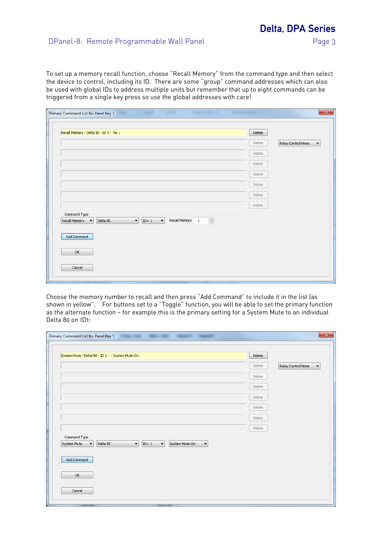To set up a memory recall function, choose "Recall Memory" from the command type and then select the device to control, including its ID. There are some "group" command addresses which can also be used with global IDs to address multiple units but remember that up to eight commands can be triggered from a single key press so use the global addresses with care!

| Recall Memory - Delta 80 - ID 1 - No 1                                                                                                             | <b>Delete</b> |                         |
|----------------------------------------------------------------------------------------------------------------------------------------------------|---------------|-------------------------|
|                                                                                                                                                    | Delete        | Relay Control None<br>▼ |
|                                                                                                                                                    | Delete        |                         |
|                                                                                                                                                    | <b>Delete</b> |                         |
|                                                                                                                                                    | Delete        |                         |
|                                                                                                                                                    | <b>Delete</b> |                         |
|                                                                                                                                                    | Delete        |                         |
|                                                                                                                                                    | Delete        |                         |
| Command Type<br>$\frac{\triangle}{\tau}$<br>Recall Memory 1<br>$ID = 1$<br>$\vert$<br>Delta 80<br>Recall Memory<br>$\cdot$<br>$\blacktriangledown$ |               |                         |
| Add Command                                                                                                                                        |               |                         |
| OK                                                                                                                                                 |               |                         |
|                                                                                                                                                    |               |                         |

Choose the memory number to recall and then press "Add Command" to include it in the list (as shown in yellow". For buttons set to a "Toggle" function, you will be able to set the primary function as the alternate function — for example this is the primary setting for a System Mute to an individual Delta 80 on ID1:

| System Mute - Delta 80 - ID 1 - - System Mute On.                                                                   | <b>Delete</b> |                         |
|---------------------------------------------------------------------------------------------------------------------|---------------|-------------------------|
|                                                                                                                     |               |                         |
|                                                                                                                     | Delete        | Relay Control None<br>▼ |
|                                                                                                                     | Delete        |                         |
|                                                                                                                     | Delete        |                         |
|                                                                                                                     | <b>Delete</b> |                         |
|                                                                                                                     | Delete        |                         |
|                                                                                                                     | Delete        |                         |
|                                                                                                                     | <b>Delete</b> |                         |
| Command Type<br>$\bullet$<br>System Mute On<br><b>System Mute</b><br>Delta 80<br>$ID = 1$<br>$\left  \cdot \right $ |               |                         |
| Add Command                                                                                                         |               |                         |
| OK                                                                                                                  |               |                         |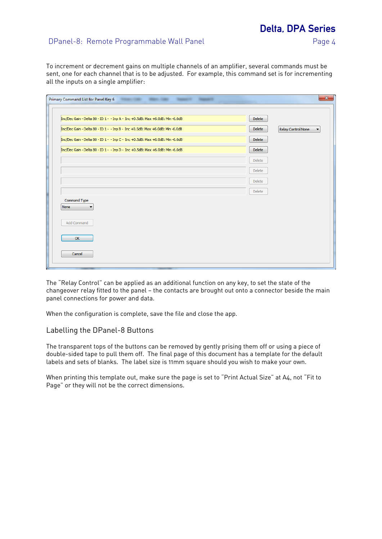## Delta, DPA Series

### DPanel-8: Remote Programmable Wall Panel Panel Page 4

To increment or decrement gains on multiple channels of an amplifier, several commands must be sent, one for each channel that is to be adjusted. For example, this command set is for incrementing all the inputs on a single amplifier:

| Inc/Dec Gain - Delta 80 - ID 1 - - Inp A - Inc +0.5dB: Max +6.0dB: Min -6.0dB | <b>Delete</b> |                         |
|-------------------------------------------------------------------------------|---------------|-------------------------|
| Inc/Dec Gain - Delta 80 - ID 1 - - Inp B - Inc +0.5dB: Max +6.0dB: Min -6.0dB | <b>Delete</b> | Relay Control None<br>▼ |
| Inc/Dec Gain - Delta 80 - ID 1 - - Inp C - Inc +0.5dB: Max +6.0dB: Min -6.0dB | <b>Delete</b> |                         |
| Inc/Dec Gain - Delta 80 - ID 1 - - Inp D - Inc +0.5dB: Max +6.0dB: Min -6.0dB | <b>Delete</b> |                         |
|                                                                               | <b>Delete</b> |                         |
|                                                                               | <b>Delete</b> |                         |
|                                                                               | <b>Delete</b> |                         |
|                                                                               | <b>Delete</b> |                         |
| Command Type<br>None                                                          |               |                         |
| Add Command                                                                   |               |                         |
| OK                                                                            |               |                         |
| Cancel                                                                        |               |                         |

The "Relay Control" can be applied as an additional function on any key, to set the state of the changeover relay fitted to the panel — the contacts are brought out onto a connector beside the main panel connections for power and data.

When the configuration is complete, save the file and close the app.

#### Labelling the DPanel-8 Buttons

The transparent tops of the buttons can be removed by gently prising them off or using a piece of double-sided tape to pull them off. The final page of this document has a template for the default labels and sets of blanks. The label size is 11mm square should you wish to make your own.

When printing this template out, make sure the page is set to "Print Actual Size" at A4, not "Fit to Page" or they will not be the correct dimensions.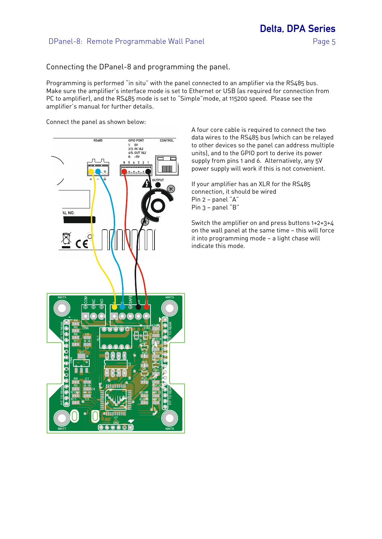Delta, DPA Series

Connecting the DPanel-8 and programming the panel.

Programming is performed "in situ" with the panel connected to an amplifier via the RS485 bus. Make sure the amplifier's interface mode is set to Ethernet or USB (as required for connection from PC to amplifier), and the RS485 mode is set to "Simple"mode, at 115200 speed. Please see the amplifier's manual for further details.

Connect the panel as shown below:



A four core cable is required to connect the two data wires to the RS485 bus (which can be relayed to other devices so the panel can address multiple units), and to the GPIO port to derive its power supply from pins 1 and 6. Alternatively, any 5V power supply will work if this is not convenient.

If your amplifier has an XLR for the RS485 connection, it should be wired Pin 2 — panel "A" Pin 3 — panel "B"

Switch the amplifier on and press buttons 1+2+3+4 on the wall panel at the same time — this will force it into programming mode — a light chase will indicate this mode.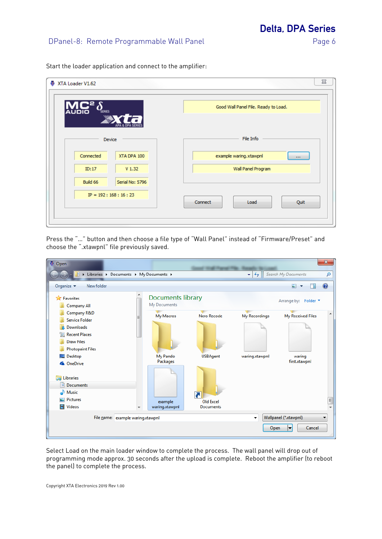Delta, DPA Series

Start the loader application and connect to the amplifier:

| XTA Loader V1.62<br>$\mathsf{L}^{\mathsf{a}}\delta$<br><b>AUDIO</b><br><b>SERIES</b> | Good Wall Panel File. Ready to Load. |
|--------------------------------------------------------------------------------------|--------------------------------------|
| Device                                                                               | File Info                            |
| Connected<br>XTA DPA 100                                                             | example waring.xtawpnl<br>$\cdots$   |
| V <sub>1.32</sub><br>ID:17                                                           | Wall Panel Program                   |
| Serial No: 5796<br>Build 66                                                          |                                      |
| $IP = 192 : 168 : 16 : 23$                                                           | Connect<br>Load<br>Quit              |

Press the "…" button and then choose a file type of "Wall Panel" instead of "Firmware/Preset" and choose the ".xtawpnl" file previously saved.

| <b>D</b> Open                                             |                                            |                     |                                                     |                              | $\mathbf{x}$ |  |
|-----------------------------------------------------------|--------------------------------------------|---------------------|-----------------------------------------------------|------------------------------|--------------|--|
| In Libraries > Documents > My Documents >                 |                                            |                     | $\boldsymbol{\ast}_{\boldsymbol{\mathcal{T}}}$<br>÷ | Search My Documents          | م            |  |
| New folder<br>Organize $\blacktriangledown$               |                                            |                     |                                                     | E<br>$\overline{\mathbf{v}}$ | $\mathbf Q$  |  |
| <b>X</b> Favorites<br><b>Company All</b>                  | <b>Documents library</b><br>My Documents   |                     |                                                     | Arrange by: Folder ▼         |              |  |
| Company R&D<br>Ξ<br><b>Service Folder</b>                 | My Macros                                  | Nero Recode         | My Recordings                                       | My Received Files            |              |  |
| Downloads                                                 |                                            |                     |                                                     |                              |              |  |
| <b>Recent Places</b>                                      |                                            |                     |                                                     |                              |              |  |
| <b>Draw Files</b>                                         |                                            |                     |                                                     |                              |              |  |
| <b>Photopaint Files</b>                                   |                                            |                     |                                                     |                              |              |  |
| Desktop                                                   | My Pando<br>Packages                       | <b>USBAgent</b>     | waring.xtawpnl                                      | waring<br>first.xtawpnl      |              |  |
| <b>C</b> OneDrive<br><b>Libraries</b><br><b>Documents</b> |                                            |                     |                                                     |                              |              |  |
| Music                                                     |                                            | $\overline{\bm{b}}$ |                                                     |                              |              |  |
| <b>Pictures</b>                                           | example                                    | Old Excel           |                                                     |                              | E            |  |
| <b>Videos</b><br>Ħ                                        | waring.xtawpnl<br>$\overline{\phantom{a}}$ | <b>Documents</b>    |                                                     |                              |              |  |
| File name: example waring.xtawpnl                         |                                            |                     | Wallpanel (*.xtawpnl)<br>▼                          |                              |              |  |
|                                                           |                                            |                     | Open                                                | Cancel                       |              |  |

Select Load on the main loader window to complete the process. The wall panel will drop out of programming mode approx. 30 seconds after the upload is complete. Reboot the amplifier (to reboot the panel) to complete the process.

Copyright XTA Electronics 2019 Rev 1.00